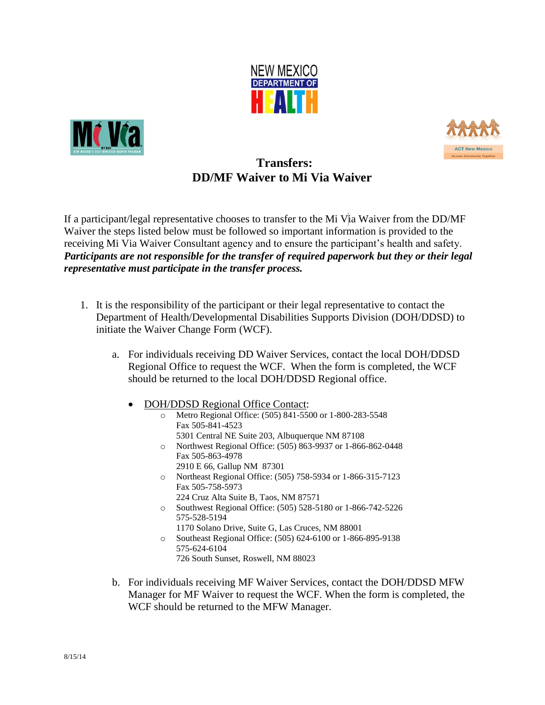





## **Transfers: DD/MF Waiver to Mi Via Waiver**

If a participant/legal representative chooses to transfer to the Mi Via Waiver from the DD/MF Waiver the steps listed below must be followed so important information is provided to the receiving Mi Via Waiver Consultant agency and to ensure the participant's health and safety. *Participants are not responsible for the transfer of required paperwork but they or their legal representative must participate in the transfer process.* 

- 1. It is the responsibility of the participant or their legal representative to contact the Department of Health/Developmental Disabilities Supports Division (DOH/DDSD) to initiate the Waiver Change Form (WCF).
	- a. For individuals receiving DD Waiver Services, contact the local DOH/DDSD Regional Office to request the WCF. When the form is completed, the WCF should be returned to the local DOH/DDSD Regional office.
		- DOH/DDSD Regional Office Contact:
			- o Metro Regional Office: (505) 841-5500 or 1-800-283-5548 Fax 505-841-4523 5301 Central NE Suite 203, Albuquerque NM 87108
			- o Northwest Regional Office: (505) 863-9937 or 1-866-862-0448 Fax 505-863-4978 2910 E 66, Gallup NM 87301
			- o Northeast Regional Office: (505) 758-5934 or 1-866-315-7123 Fax 505-758-5973
				- 224 Cruz Alta Suite B, Taos, NM 87571
			- o Southwest Regional Office: (505) 528-5180 or 1-866-742-5226 575-528-5194
				- 1170 Solano Drive, Suite G, Las Cruces, NM 88001
			- o Southeast Regional Office: (505) 624-6100 or 1-866-895-9138 575-624-6104
				- 726 South Sunset, Roswell, NM 88023
	- b. For individuals receiving MF Waiver Services, contact the DOH/DDSD MFW Manager for MF Waiver to request the WCF. When the form is completed, the WCF should be returned to the MFW Manager.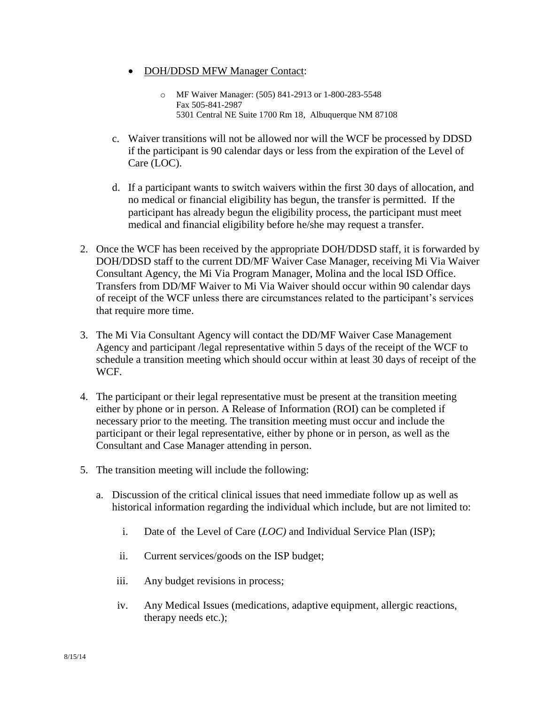- DOH/DDSD MFW Manager Contact:
	- o MF Waiver Manager: (505) 841-2913 or 1-800-283-5548 Fax 505-841-2987 5301 Central NE Suite 1700 Rm 18, Albuquerque NM 87108
- c. Waiver transitions will not be allowed nor will the WCF be processed by DDSD if the participant is 90 calendar days or less from the expiration of the Level of Care (LOC).
- d. If a participant wants to switch waivers within the first 30 days of allocation, and no medical or financial eligibility has begun, the transfer is permitted. If the participant has already begun the eligibility process, the participant must meet medical and financial eligibility before he/she may request a transfer.
- 2. Once the WCF has been received by the appropriate DOH/DDSD staff, it is forwarded by DOH/DDSD staff to the current DD/MF Waiver Case Manager, receiving Mi Via Waiver Consultant Agency, the Mi Via Program Manager, Molina and the local ISD Office. Transfers from DD/MF Waiver to Mi Via Waiver should occur within 90 calendar days of receipt of the WCF unless there are circumstances related to the participant's services that require more time.
- 3. The Mi Via Consultant Agency will contact the DD/MF Waiver Case Management Agency and participant /legal representative within 5 days of the receipt of the WCF to schedule a transition meeting which should occur within at least 30 days of receipt of the WCF.
- 4. The participant or their legal representative must be present at the transition meeting either by phone or in person. A Release of Information (ROI) can be completed if necessary prior to the meeting. The transition meeting must occur and include the participant or their legal representative, either by phone or in person, as well as the Consultant and Case Manager attending in person.
- 5. The transition meeting will include the following:
	- a. Discussion of the critical clinical issues that need immediate follow up as well as historical information regarding the individual which include, but are not limited to:
		- i. Date of the Level of Care (*LOC)* and Individual Service Plan (ISP);
		- ii. Current services/goods on the ISP budget;
		- iii. Any budget revisions in process;
		- iv. Any Medical Issues (medications, adaptive equipment, allergic reactions, therapy needs etc.);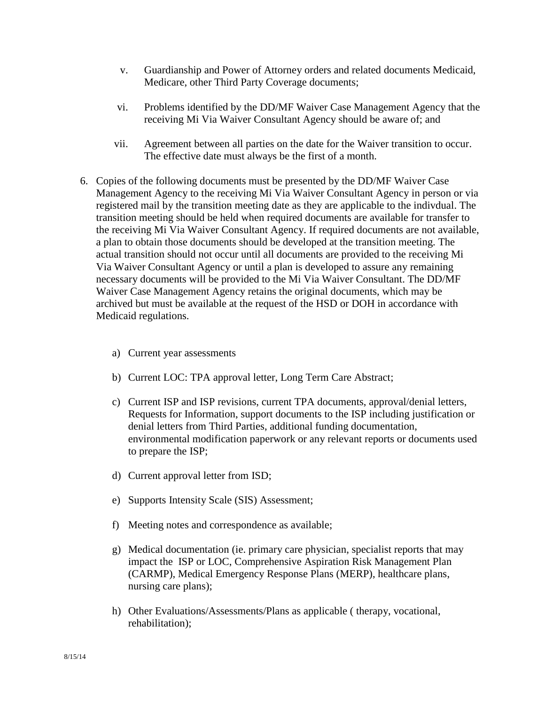- v. Guardianship and Power of Attorney orders and related documents Medicaid, Medicare, other Third Party Coverage documents;
- vi. Problems identified by the DD/MF Waiver Case Management Agency that the receiving Mi Via Waiver Consultant Agency should be aware of; and
- vii. Agreement between all parties on the date for the Waiver transition to occur. The effective date must always be the first of a month.
- 6. Copies of the following documents must be presented by the DD/MF Waiver Case Management Agency to the receiving Mi Via Waiver Consultant Agency in person or via registered mail by the transition meeting date as they are applicable to the indivdual. The transition meeting should be held when required documents are available for transfer to the receiving Mi Via Waiver Consultant Agency. If required documents are not available, a plan to obtain those documents should be developed at the transition meeting. The actual transition should not occur until all documents are provided to the receiving Mi Via Waiver Consultant Agency or until a plan is developed to assure any remaining necessary documents will be provided to the Mi Via Waiver Consultant. The DD/MF Waiver Case Management Agency retains the original documents, which may be archived but must be available at the request of the HSD or DOH in accordance with Medicaid regulations.
	- a) Current year assessments
	- b) Current LOC: TPA approval letter, Long Term Care Abstract;
	- c) Current ISP and ISP revisions, current TPA documents, approval/denial letters, Requests for Information, support documents to the ISP including justification or denial letters from Third Parties, additional funding documentation, environmental modification paperwork or any relevant reports or documents used to prepare the ISP;
	- d) Current approval letter from ISD;
	- e) Supports Intensity Scale (SIS) Assessment;
	- f) Meeting notes and correspondence as available;
	- g) Medical documentation (ie. primary care physician, specialist reports that may impact the ISP or LOC, Comprehensive Aspiration Risk Management Plan (CARMP), Medical Emergency Response Plans (MERP), healthcare plans, nursing care plans);
	- h) Other Evaluations/Assessments/Plans as applicable ( therapy, vocational, rehabilitation);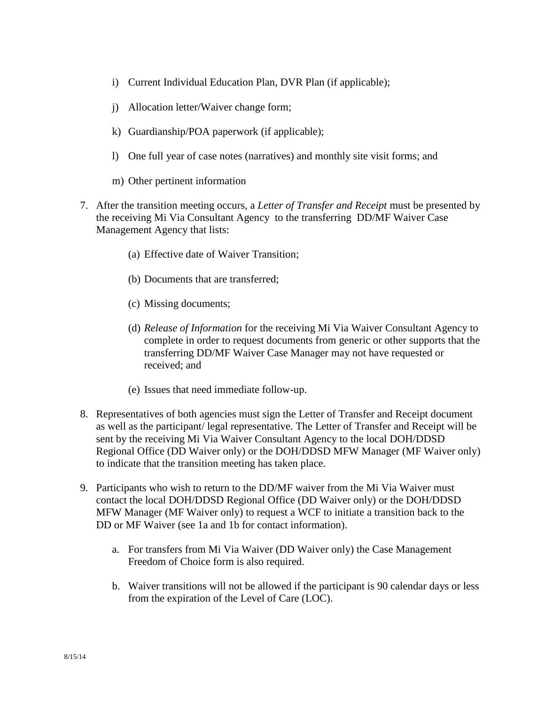- i) Current Individual Education Plan, DVR Plan (if applicable);
- j) Allocation letter/Waiver change form;
- k) Guardianship/POA paperwork (if applicable);
- l) One full year of case notes (narratives) and monthly site visit forms; and
- m) Other pertinent information
- 7. After the transition meeting occurs, a *Letter of Transfer and Receipt* must be presented by the receiving Mi Via Consultant Agency to the transferring DD/MF Waiver Case Management Agency that lists:
	- (a) Effective date of Waiver Transition;
	- (b) Documents that are transferred;
	- (c) Missing documents;
	- (d) *Release of Information* for the receiving Mi Via Waiver Consultant Agency to complete in order to request documents from generic or other supports that the transferring DD/MF Waiver Case Manager may not have requested or received; and
	- (e) Issues that need immediate follow-up.
- 8. Representatives of both agencies must sign the Letter of Transfer and Receipt document as well as the participant/ legal representative. The Letter of Transfer and Receipt will be sent by the receiving Mi Via Waiver Consultant Agency to the local DOH/DDSD Regional Office (DD Waiver only) or the DOH/DDSD MFW Manager (MF Waiver only) to indicate that the transition meeting has taken place.
- 9. Participants who wish to return to the DD/MF waiver from the Mi Via Waiver must contact the local DOH/DDSD Regional Office (DD Waiver only) or the DOH/DDSD MFW Manager (MF Waiver only) to request a WCF to initiate a transition back to the DD or MF Waiver (see 1a and 1b for contact information).
	- a. For transfers from Mi Via Waiver (DD Waiver only) the Case Management Freedom of Choice form is also required.
	- b. Waiver transitions will not be allowed if the participant is 90 calendar days or less from the expiration of the Level of Care (LOC).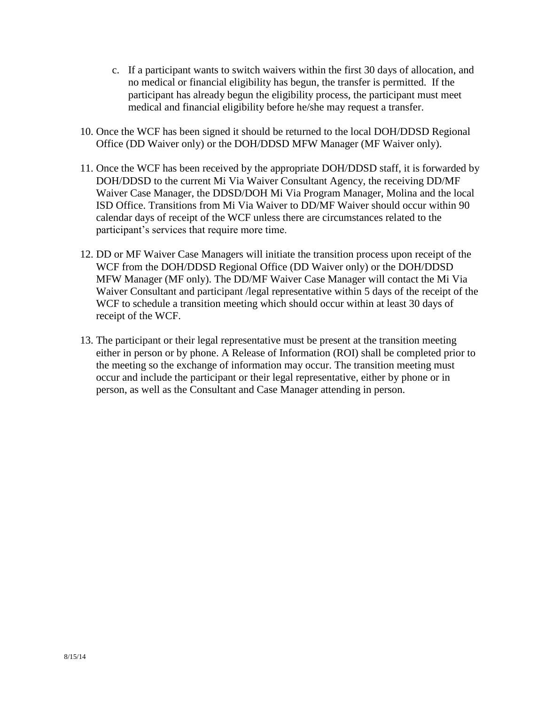- c. If a participant wants to switch waivers within the first 30 days of allocation, and no medical or financial eligibility has begun, the transfer is permitted. If the participant has already begun the eligibility process, the participant must meet medical and financial eligibility before he/she may request a transfer.
- 10. Once the WCF has been signed it should be returned to the local DOH/DDSD Regional Office (DD Waiver only) or the DOH/DDSD MFW Manager (MF Waiver only).
- 11. Once the WCF has been received by the appropriate DOH/DDSD staff, it is forwarded by DOH/DDSD to the current Mi Via Waiver Consultant Agency, the receiving DD/MF Waiver Case Manager, the DDSD/DOH Mi Via Program Manager, Molina and the local ISD Office. Transitions from Mi Via Waiver to DD/MF Waiver should occur within 90 calendar days of receipt of the WCF unless there are circumstances related to the participant's services that require more time.
- 12. DD or MF Waiver Case Managers will initiate the transition process upon receipt of the WCF from the DOH/DDSD Regional Office (DD Waiver only) or the DOH/DDSD MFW Manager (MF only). The DD/MF Waiver Case Manager will contact the Mi Via Waiver Consultant and participant /legal representative within 5 days of the receipt of the WCF to schedule a transition meeting which should occur within at least 30 days of receipt of the WCF.
- 13. The participant or their legal representative must be present at the transition meeting either in person or by phone. A Release of Information (ROI) shall be completed prior to the meeting so the exchange of information may occur. The transition meeting must occur and include the participant or their legal representative, either by phone or in person, as well as the Consultant and Case Manager attending in person.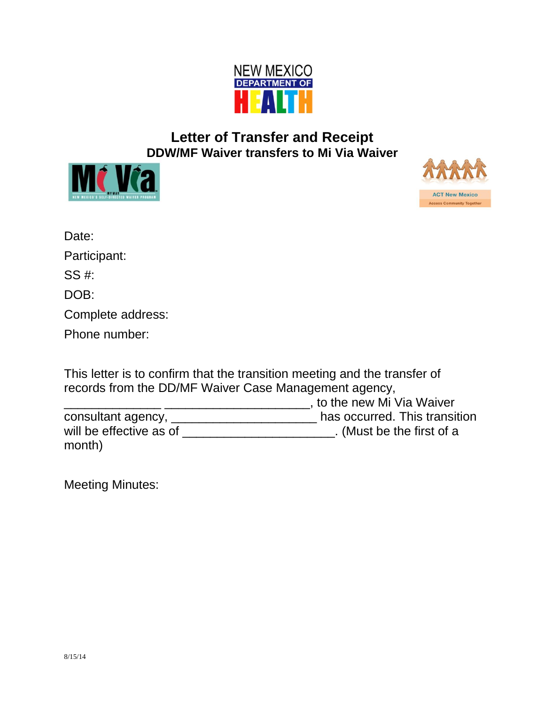

## **Letter of Transfer and Receipt DDW/MF Waiver transfers to Mi Via Waiver**





| Date:             |  |
|-------------------|--|
| Participant:      |  |
| SS #:             |  |
| DOB:              |  |
| Complete address: |  |
| Phone number:     |  |

This letter is to confirm that the transition meeting and the transfer of records from the DD/MF Waiver Case Management agency,

\_\_\_\_\_\_\_\_\_\_\_\_\_\_ \_\_\_\_\_\_\_\_\_\_\_\_\_\_\_\_\_\_\_\_\_, to the new Mi Via Waiver consultant agency, \_\_\_\_\_\_\_\_\_\_\_\_\_\_\_\_\_\_\_\_\_ has occurred. This transition will be effective as of \_\_\_\_\_\_\_\_\_\_\_\_\_\_\_\_\_\_\_\_\_\_\_\_. (Must be the first of a month)

Meeting Minutes: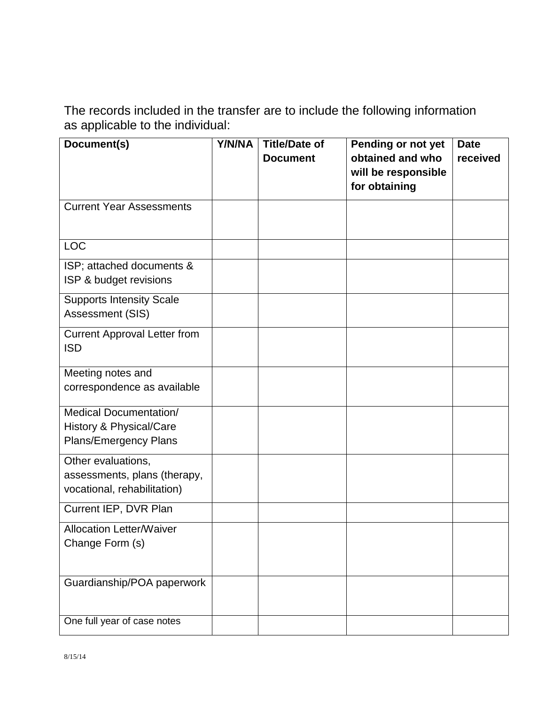The records included in the transfer are to include the following information as applicable to the individual:

| Document(s)                                                                       | Y/N/NA | <b>Title/Date of</b><br><b>Document</b> | Pending or not yet<br>obtained and who<br>will be responsible<br>for obtaining | <b>Date</b><br>received |
|-----------------------------------------------------------------------------------|--------|-----------------------------------------|--------------------------------------------------------------------------------|-------------------------|
| <b>Current Year Assessments</b>                                                   |        |                                         |                                                                                |                         |
| <b>LOC</b>                                                                        |        |                                         |                                                                                |                         |
| ISP; attached documents &<br>ISP & budget revisions                               |        |                                         |                                                                                |                         |
| <b>Supports Intensity Scale</b><br>Assessment (SIS)                               |        |                                         |                                                                                |                         |
| <b>Current Approval Letter from</b><br><b>ISD</b>                                 |        |                                         |                                                                                |                         |
| Meeting notes and<br>correspondence as available                                  |        |                                         |                                                                                |                         |
| <b>Medical Documentation/</b><br>History & Physical/Care<br>Plans/Emergency Plans |        |                                         |                                                                                |                         |
| Other evaluations,<br>assessments, plans (therapy,<br>vocational, rehabilitation) |        |                                         |                                                                                |                         |
| Current IEP, DVR Plan                                                             |        |                                         |                                                                                |                         |
| <b>Allocation Letter/Waiver</b><br>Change Form (s)                                |        |                                         |                                                                                |                         |
| Guardianship/POA paperwork                                                        |        |                                         |                                                                                |                         |
| One full year of case notes                                                       |        |                                         |                                                                                |                         |